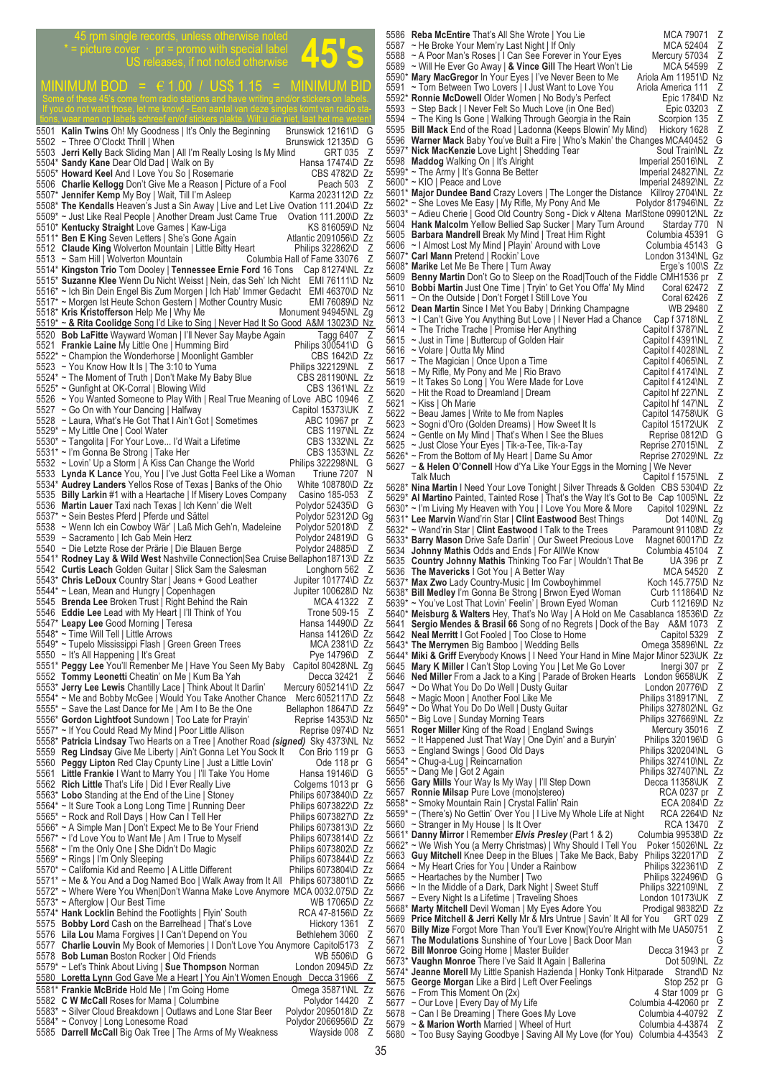45 rpm single records, unless otherwise noted<br>
Fighture cover · pr = promo with special label<br>
US releases, if not noted otherwise  $*$  = picture cover  $\cdot$  pr = promo with special label US releases, if not noted otherwise  $\texttt{MINIMUM BOD}$  =  $\in$  1.00 / US\$ 1.15 = MINIMUM BID tions, waar men op labels schreef en/of stickers plakte. Wilt u die niet, laat het me weten! 5501 **Kalin Twins** Oh! My Goodness | It's Only the Beginning Brunswick 12161\D G<br>5502 ~ Three O'Clockt Thrill I When Brunswick 12135\D G 5502 ~ Three O'Clockt Thrill | When Brunswick 12135\D<br>5503 **Jerri Kelly Back Sliding Man | All I'm Really Losing Is My Mind GRT 035** 5503 **Jerri Kelly** Back Sliding Man | All I'm Really Losing Is My Mind GRT 035 Z<br>5504\* **Sandy Kane** Dear Old Dad I Walk on By Hansa 17474\D Zz **Sandy Kane** Dear Old Dad | Walk on By **France Standy Kanea 17474\D Zz**<br>**Howard Keel And I Love You So | Rosemarie CBS 4782\D Zz** 5505\* **Howard Keel** And I Love You So | Rosemarie CBS 4782\D Zz<br>5506 **Charlie Kellogg** Don't Give Me a Reason | Picture of a Fool Peach 503 Z 5506 Charlie Kellogg Don't Give Me a Reason | Picture of a Fool 5507\* **Jennifer Kemp** My Boy | Wait, Till I'm Asleep Karma 2023112\D Zz 5508\* **The Kendalls** Heaven's Just a Sin Away | Live and Let Live Ovation 111.204\D Zz 5509\* ~ Just Like Real People | Another Dream Just Came True Ovation 111.200\D Zz<br>5510\* Kentucky Straight Love Games | Kaw-Liga KS 816059\D Nz 5510\* **Kentucky Straight** Love Games | Kaw-Liga **KS 816059\D Nz**<br>5511\* Ben E King Seven Letters | She's Gone Again Atlantic 2091056\D Zz 5511<sup>\*</sup> Ben E King Seven Letters | She's Gone Again Atlantic 2091056\D Zz<br>5512 Claude King Wolverton Mountain | Little Bitty Heart Philips 322862\D Z 5512 **Claude King** Wolverton Mountain | Little Bitty Heart Philips 322862\D Z 5513 ~ Sam Hill | Wolverton Mountain Columbia Hall of Fame 33076 Z 5514\* **Kingston Trio** Tom Dooley | **Tennessee Ernie Ford** 16 Tons Cap 81274\NL Zz 5515\* **Suzanne Klee** Wenn Du Nicht Weisst | Nein, das Seh' Ich Nicht EMI 76111\D Nz 5516\* ~ Ich Bin Dein Engel Bis Zum Morgen | Ich Hab' Immer Gedacht EMI 46370\D Nz<br>5517\* ~ Morgen Ist Heute Schon Gestern | Mother Country Music EMI 76089\D Nz 5517\* ~ Morgen Ist Heute Schon Gestern | Mother Country Music EMI 76089\D Nz<br>5518\* Kris Kristofferson Help Me | Why Me Monument 94945\NL Zg 5518\* Kris Kristofferson Help Me | Why Me 5519\* ~ **& Rita Coolidge** Song I'd Like to Sing | Never Had It So Good A&M 13023\D Nz 5520 **Bob LaFitte** Wayward Woman | I'll Never Say Maybe Again Tagg 6407 Z<br>5521 **Frankie Laine** My Little One | Humming Bird Philips 300541\D G 5521 **Frankie Laine** My Little One | Humming Bird **Philips 300541\D** G 5522\* ~ Champion the Wonderhorse | Moonlight Gambler CBS 1642\D Zz 5523 ~ You Know How It Is | The 3:10 to Yuma<br>5524\* ~ The Moment of Truth | Don't Make My Baby Blue CBS 281190\NL Zz 5524\* ~ The Moment of Truth | Don't Make My Baby Blue CBS 281190\NL Zz<br>5525\* ~ Gunfight at OK-Corral | Blowing Wild CBS 1361\NL Zz 5525\* ~ Gunfight at OK-Corral | Blowing Wild<br>5526 ~ You Wanted Someone to Play With | Real True Meaning of Love ABC 10946 Z 5526 ~ You Wanted Someone to Play With | Real True Meaning of Love ABC 10946 Z<br>5527 ~ Go On with Your Dancing | Halfway Capitol 15373 UK Z 5527 ~ Go On with Your Dancing | Halfway depart of the State Capitol 15373\UK Z<br>5528 ~ Laura, What's He Got That I Ain't Got | Sometimes ABC 10967 pr Z 5528 ~ Laura, What's He Got That I Ain't Got | Sometimes ABC 10967 pr Z<br>5529\* ~ My Little One | Cool Water Abc 2006 CBS 1197\NL Zz  $\sim$  My Little One | Cool Water Conserved CBS 1197\NL Zz<br>  $\sim$  Tangolita | For Your Love... I'd Wait a Lifetime CBS 1332\NL Zz 5530\* ~ Tangolita | For Your Love... I'd Wait a Lifetime CBS 1332NL 27<br>5531\* ~ I'm Gonna Be Strong | Take Her 5531\* ~ I'm Gonna Be Strong | Take Her CBS 1353\NL Zz 5532 ~ Lovin' Up a Storm | A Kiss Can Change the World Philips 322298\NL G 5533 Lynda K Lance You, You | I've Just Gotta Feel Like a Woman Triune 7207 N<br>5534\* Audrey Landers Yellos Rose of Texas | Banks of the Ohio White 108780\D Zz 5534\* **Audrey Landers** Yellos Rose of Texas | Banks of the Ohio White 108780\D Zz 5535 **Billy Larkin** #1 with a Heartache | If Misery Loves Company Casino 185-053 Z<br>5536 **Martin Lauer** Taxi nach Texas | Ich Kenn' die Welt Polydor 52435\D G<br>5537\* ~ Sein Bestes Pferd | Pferde und Sättel Polydor 52312\D Gg 5536 Martin Lauer Taxi nach Texas | Ich Kenn<sup>'</sup> die Welt<br>5537\* ~ Sein Bestes Pferd | Pferde und Sättel 5312\D Folydor 52312\D Ferde und Sättel Polydor 52312\D - Wenn Ich ein Cowboy Wär' | Laß Mich Geh'n, Madeleine 5538 ~ Wenn Ich ein Cowboy Wär' | Laß Mich Geh'n, Madeleine Polydor 52018\D Z 5539 ~ Sacramento | Ich Gab Mein Herz <br>5540 ~ Die Letzte Rose der Prärie | Die Blauen Berge Polydor 24885\D Z 5540 ~ Die Letzte Rose der Prärie | Die Blauen Berge<br>5541\* Rodney Lay & Wild West Nashville Connection 5541\* **Rodney Lay & Wild West** Nashville Connection|Sea Cruise Bellaphon18713\D Zz 5542 **Curtis Leach** Golden Guitar | Slick Sam the Salesman Longhorn 562 Z 5543\* **Chris LeDoux** Country Star | Jeans + Good Leather Jupiter 101774\D Zz<br>5544\* ~ Lean, Mean and Hungry | Copenhagen Jupiter 100628\D Nz 5544\* ~ Lean, Mean and Hungry | Copenhagen Music Corporation Music Jupiter 100628\D Nz 5545 **Brenda Lee** Broken Trust | Right Behind the Rain MCA 41322 Z 5545 **Brenda Lee** Broken Trust | Right Behind the Rain MCA 41322 Z<br>5546 **Eddie Lee** Lead with My Heart | I'll Think of You Trone 509-15 Z<br>5547\* Leapy Lee Good Morning | Teresa Hansa 14490\D Zz 5547\* Leapy Lee Good Morning | Teresa **Hansa 14490\D** Zz 5548\* ~ Time Will Tell | Little Arrows Nance The Mansa 14126 \D Zz 5549\* ~ Tupelo Mississippi Flash | Green Green Trees MCA 2381\D Zz 5550 ~ It's All Happening | It's Great Pye 14796\D Z 5551\* **Peggy Lee** You'll Remenber Me | Have You Seen My Baby Capitol 80428\NL Zg 5552 **Tommy Leonetti** Cheatin' on Me | Kum Ba Yah **Decca 32421 Z** 5552 **Tommy Leonetti** Cheatin' on Me | Kum Ba Yah Decca 32421 2<br>5553\* Jerry Lee Lewis Chantilly Lace | Think About It Darlin' Mercury 60521411\D Zz<br>5554\* ~ Me and Bobby McGee | Would You Take Another Chance Merc 6052117\D  $\sim$  Me and Bobby McGee | Would You Take Another Chance Merc 6052117\D Zz<br> $\sim$  Save the Last Dance for Me | Am I to Be the One Bellaphon 18647\D Zz 5555\* ~ Save the Last Dance for Me | Am I to Be the One Bellaphon 18647\D Zz<br>5556\* Gordon Lightfoot Sundown | Too Late for Prayin' Reprise 14353\D Nz 5556\* **Gordon Lightfoot** Sundown | Too Late for Prayin' Reprise 14353\D Nz<br>5557\* ~ If You Could Read My Mind | Poor Little Allison Reprise 0974\D Nz 5557\* ~ If You Could Read My Mind | Poor Little Allison 5558\* **Patricia Lindsay** Two Hearts on a Tree | Another Road *(signed)* Sky 4373\NL Nz 5559 **Reg Lindsay** Give Me Liberty | Ain't Gonna Let You Sock It Con Brio 119 pr G 5560 **Peggy Lipton** Red Clay Cpunty Line | Just a Little Lovin' Ode 118 pr G<br>5561 Little Frankie | Want to Marry You | I'll Take You Home Hansa 19146\D G 5561 **Little Frankie** I Want to Marry You | I'll Take You Home Hansa 19146\D G<br>5562 **Rich Little** That's Life I Did I Ever Really Live Colgems 1013 pr G **Rich Little** That's Life | Did I Ever Really Live Colgems 1013 pr G<br>
Lobo Standing at the End of the Line | Stoney Philips 6073840\D Zz 5563\* **Lobo** Standing at the End of the Line | Stoney Philips 6073840\D Zz<br>5564\* ~ It Sure Took a Long Long Time | Running Deer Philips 6073822\D Zz 5564\* ~ It Sure Took a Long Long Time | Running Deer Philips 6073822\D Zz 5565\* ~ Rock and Roll Days | How Can I Tell Her Philips 6073827\D Zz 5566\* ~ A Simple Man | Don't Expect Me to Be Your Friend Philips 6073813\D Zz 5567\* ~ I'd Love You to Want Me | Am I True to Myself Philips 6073814\D Zz<br>5568\* ~ I'm the Only One | She Didn't Do Magic Philips 6073802\D Zz 5568\* ~ I'm the Only One | She Didn't Do Magic Philips 6073802\D Zz 5569\* ~ Rings | I'm Only Sleeping Philips 6073844\D Zz 5570\* ~ California Kid and Reemo | A Little Different Philips 6073804\D Zz 5571\* ~ Me & You And a Dog Named Boo | Walk Away from It All Philips 6073801\D Zz 5572\* ~ Where Were You When|Don't Wanna Make Love Anymore MCA 0032.075\D Zz<br>5573\* ~ Afterglow | Our Best Time 5573\* ~ Afterglow | Our Best Time WB 17065\D Zz<br>5574\* **Hank Locklin** Behind the Footlights | Flyin' South RCA 47-8156\D Zz 5574\* **Hank Locklin** Behind the Footlights | Flyin' South RCA 47-8156\D Zz<br>5575 **Bobby Lord** Cash on the Barrelhead | That's Love Hickory 1361 Z 5575 **Bobby Lord** Cash on the Barrelhead | That's Love Hickory 1361 Z<br>5576 Lila Lou Mama Forgives | I Can't Depend on You Bethlehem 3060 Z 5576 **Lila Lou** Mama Forgives | I Can't Depend on You Bethlehem 3060 Z<br>5577 **Charlie Louvin** My Book of Memories | I Don't Love You Anymore Capitol5173 Z 5577 **Charlie Louvin** My Book of Memories | I Don't Love You Anymore Capitol5173 Z 5578 **Bob Luman** Boston Rocker | Old Friends<br>5579\* ~ Let's Think About Living | **Sue Thompson** Norman London 20945\D Zz 5579\* ~ Let's Think About Living | **Sue Thompson** Norman London 20945\D Zz 5580 **Loretta Lynn** God Gave Me a Heart | You Ain't Women Enough Decca 31966 Z 5581\* **Frankie McBride** Hold Me | I'm Going Home **Omega 35871\NL Zz**<br>5582 **C W McCall Roses for Mama | Columbine** Polydor 14420 Z 5582 **C W McCall** Roses for Mama | Columbine Polydor 14420 Z<br>5583\* ~ Silver Cloud Breakdown | Outlaws and Lone Star Beer Polydor 2095018\D Zz 5583\* ~ Silver Cloud Breakdown | Outlaws and Lone Star Beer Polydor 2095018\D Zz 5584\* ~ Convoy | Long Lonesome Road<br>5584\* ~ Convoy | Long Lonesome Road<br>5585 **Darrell McCall** Big Oak Tree | The Arms of My Weakness Wayside 008 Z

5585 **Darrell McCall** Big Oak Tree | The Arms of My Weakness Wayside 008

5586 **Reba McEntire** That's All She Wrote | You Lie MCA 79071 Z<br>5587 ~ He Broke Your Mem'ry Last Night | If Only MCA 52404 Z<br>5588 ~ A Poor Man's Roses | I Can See Forever in Your Eyes Mercury 57034 Z<br>5589 ~ Will He Fyer Go 5587 ~ He Broke Your Mem'ry Last Night | If Only MCA 52404<br>5588 ~ A Poor Man's Roses | I Can See Forever in Your Eyes Mercury 57034 5588 ~ A Poor Man's Roses | I Can See Forever in Your Eyes Mercury 57034<br>5589 ~ Will He Eyer Go Away Le Vince Gill The Heart Won't Lie MCA 54599 5589 ~ Will He Ever Go Away | & Vince Gill The Heart Won't Lie MCA 54599 Z<br>5590\* Mary MacGregor In Your Eyes | I've Never Been to Me Ariola Am 11951\D Nz 5590\* **Mary MacGregor** In Your Eyes | I've Never Been to Me Ariola Am 11951\D Nz 5591 ~ Torn Between Two Lovers | I Just Want to Love You Ariola America 111 Z<br>5592\* Ronnie McDowell Older Women | No Body's Perfect Epic 1784\D Nz 5592\* **Ronnie McDowell** Older Women | No Body's Perfect Epic 1784\D Nz<br>5592\* **Ronnie McDowell** Older Women | No Body's Perfect Epic 1784\D Nz 5593 ~ Step Back | I Never Felt So Much Love (in One Bed) Epic 03203 Z 5594 ~ The King Is Gone | Walking Through Georgia in the Rain Scorpion 135 Z 5595 **Bill Mack** End of the Road | Ladonna (Keeps Blowin' My Mind) Hickory 1628 Z 5596 **Warner Mack** Baby You've Built a Fire | Who's Makin' the Changes MCA40452 G<br>5597\* Nick MacKenzie Love Light | Shedding Tear Soul Train\NL Zz **The Soul Train NLC 25 And Train West Conduct Act of Act of Act of Act OSM**<br>Soul Train NLC Zz Maddog Walking On | It's Alright Conduct Train Soul Train NLC Z 5598 **Maddog** Walking On | It's Alright Imperial 25016\NL Z<br>5599\* ~ The Army | It's Gonna Be Better Imperial 24827\NL Zz The Army | It's Gonna Be Better | Imperial 24827\NL Zz<br>
~ KIO | Peace and Love | Imperial 24892\NL Zz 5600\* ~ KIO | Peace and Love<br>5601\* Major Dundee Band Crazy Lovers | The Longer the Distance Killroy 2704\NL Zz **Major Dundee Band** Crazy Lovers | The Longer the Distance Killroy 2704\NL Zz<br>
~ She Loves Me Easy | My Rifle, My Pony And Me Polydor 817946\NL Zz 5602\* ~ She Loves Me Easy | My Rifle, My Pony And Me Polydor 817946\NL Zz<br>5603\* ~ Adieu Cherie | Good Old Country Song - Dick v Altena MarlStone 099012\NL Zz<br>5604 **Hank Malcolm** Yellow Bellied San Sucker | Mary Turn Around 5603\* ~ Adieu Cherie | Good Old Country Song - Dick v Altena MarlStone 099012\NL Zz 5604 Hank Malcolm Yellow Bellied Sap Sucker | Mary Turn Around Starday 770 N 5605 **Barbara Mandrell** Break My Mind | Treat Him Right Columbia 45391 G 5606 ~ I Almost Lost My Mind | Playin' Around with Love Columbia 45143 G 5607\* **Carl Mann Pretend | Rockin' Love**<br>
5607\* **Carl Mann Pretend | Rockin' Love**<br>
5608\* **Marike** Let Me Be There | Turn Away Erge's 100\S Zz<br>
5610 **Bobbi Martin** Just One Time | Tyrin' to Get You Offa' My Mind Coral 6247 5608\* **Marike** Let Me Be There | Turn Away<br>5609 **Benny Martin** Don't Go to Sleep on t 5609 **Benny Martin** Don't Go to Sleep on the Road|Touch of the Fiddle CMH1536 pr 5610 **Bobbi Martin** Just One Time | Tryin' to Get You Offa' My Mind Coral 62472 5610 **Bobbi Martin** Just One Time | Tryin' to Get You Offa' My Mind Coral 62472<br>5611 ~ On the Outside | Don't Forget I Still Love You Coral 62426 5611 ~ On the Outside | Don't Forget I Still Love You Coral 62426 Coral 62426 Coral 62426 5612 **Dean Martin** Since I Met You Baby | Drinking Champagne WB 29480<br>5613 ~ I Can't Give You Anything But Love | I Never Had a Chance Cap f 3718\NL 5613 ~ I Can't Give You Anything But Love | I Never Had a Chance Cap f 3718\nubset Gap f 3718\left Gove I continue Capitol f 3787\nubset Gapitol f 3787\nubset Gapitol f 3787\nubset Gapitol f 3787\nubset Gapitol f 3787\nubs 5614 ~ The Triche Trache | Promise Her Anything Capitol f 3787\NL<br>5615 ~ Just in Time | Buttercup of Golden Hair Capitol f 4391\NL 19915 ~ Just in Time | Buttercup of Golden Hair<br>
5616 ~ Volare | Outta My Mind<br>
5617 ~ The Magician | Once Upon a Time Capitol f 4028\NL Capitol f 4065\NL<br>
5618 ~ My Rifle, My Pony and Me | Rio Bravo Capitol f 4174\NL  $5616 \sim$  Volare | Outta My Mind  $5617 \sim$  The Magician I Once I I 5617 ~ The Magician | Once Upon a Time Capitol f 4065\NL Z 5618 ~ My Rifle, My Pony and Me | Rio Bravo Capitol f 4174\NL Z 5619 ~ It Takes So Long | You Were Made for Love Capitol f 4124\NL Z 5620 ~ Hit the Road to Dreamland | Dream Capitol hf 227\NL Z 5621 ~ Kiss | Oh Marie Capitol hf 147\NL Z<br>5622 ~ Beau James | Write to Me from Naples Capitol 14758\UK G 5622 ~ Beau James | Write to Me from Naples Capitol 14758\UK G<br>5623 ~ Sogni d'Oro (Golden Dreams) | How Sweet It Is Capitol 15172\UK Z 5623 ~ Sogni d'Oro (Golden Dreams) | How Sweet It Is Capitol 15172\UK Z<br>5624 ~ Gentle on My Mind | That's When I See the Blues Reprise 0812\D G<br>5625 ~ Just Close Your Eyes | Tik-a-Tee, Tik-a-Tay Reprise 27015\NL Z 5624 ~ Gentle on My Mind | That's When I See the Blues Reprise 0812\D<br>5625 ~ Just Close Your Eyes | Tik-a-Tee, Tik-a-Tay Reprise 27015\NL ~ Just Close Your Eyes | Tik-a-Tee, Tik-a-Tay Reprise 27015\NL Z<br>|~ From the Bottom of My Heart | Dame Su Amor Reprise 27029\NL Zz 5626\* ~ From the Bottom of My Heart | Dame Su Amor<br>5627 ~ & Helen O'Connell How d'Ya Like Your Eggs 5627 ~ **& Helen O'Connell** How d'Ya Like Your Eggs in the Morning | We Never Capitol f 1575\NL Z<br>den CBS 5304\D Zz 5628\* Nina Martin I Need Your Love Tonight | Silver Threads & Golden CBS 5304\D 5629\* **Al Martino** Painted, Tainted Rose | That's the Way It's Got to Be Cap 1005\NL Zz 5630\* ~ I'm Living My Heaven with You | I Love You More & More Capitol 1029\NL Zz 5631\* **Lee Marvin** Wand'rin Star | **Clint Eastwood** Best Things Dot 140\NL Zg 5632\* ~ Wand'rin Star | **Clint Eastwood** I Talk to the Trees Paramount 91108\D Zz 5633\* **Barry Mason** Drive Safe Darlin' | Our Sweet Precious Love Magnet 60017\D Zz 5634 **Johnny Mathis** Odds and Ends | For AllWe Know Columbia 45104 Z 5635 **Country Johnny Mathis** Thinking Too Far | Wouldn't That Be UA 396 pr Z 5636 **The Mavericks** I Got You | A Better Way MCA 54520 Z **Max Zwo** Lady Country-Music | Im Cowboyhimmel Koch 145.775\D Nz<br> **Bill Medley** I'm Gonna Be Strong | Brwon Eyed Woman Curb 111864\D Nz 5638\* **Bill Medley** I'm Gonna Be Strong | Brwon Eyed Woman Curb 111864\D Nz 5639\* ~ You've Lost That Lovin' Feelin' | Brown Eyed Woman Curb 112169\D Nz 5640\* **Meisburg & Walters** Hey, That's No Way | A Hold on Me Casablanca 18536\D Zz<br>5641 **Sergio Mendes & Brasil 66** Song of no Regrets | Dock of the Bay A&M 1073 Z<br>5642 **Neal Merritt I** Got Fooled | Too Close to Home Capit 5641 **Sergio Mendes & Brasil 66** Song of no Regrets | Dock of the Bay A&M 1073 Z 5642 **Neal Merritt** I Got Fooled | Too Close to Home Capitol 5329 Z 5643\* The Merrymen Big Bamboo | Wedding Bells **Camboo Comega 35896\NL** Zz 5644\* **Miki & Griff** Everybody Knows | I Need Your Hand in Mine Major Minor 523\UK Zz 5645 **Mary K Miller** I Can't Stop Loving You | Let Me Go Lover Inergi 307 pr Z<br>5646 **Ned Miller** From a Jack to a King | Parade of Broken Hearts London 9658\UK Z<br>5647 ~ Do What You Do Do Well | Dusty Guitar London 20776\D 5646 **Ned Miller** From a Jack to a King | Parade of Broken Hearts London 9658\UK Z 5647 ~ Do What You Do Do Well | Dusty Guitar London 20776\D Z 5648 ~ Magic Moon | Another Fool Like Me **Philips 318917\NL** Z 5649\* ~ Do What You Do Do Well | Dusty Guitar Philips 327802\NL Gz<br>5650\* ~ Big Love | Sunday Morning Tears Philips 327669\NL Zz 5650\* ~ Big Love | Sunday Morning Tears Philips 327669\NL Zz<br>5651 **Roger Miller** King of the Road | England Swings Mercury 35016 Z 5651 **Roger Miller** King of the Road | England Swings Mercury 35016 Z<br>5652 ~ It Happened Just That Way | One Dyin' and a Buryin' Philips 320196\D G 5652 ~ It Happened Just That Way | One Dyin' and a Buryin' Philips 320196\D G<br>5653 ~ England Swings | Good Old Days Philips 320204\NL G 5653 ~ England Swings | Good Old Days Philips 320204\NL G<br>5654\* ~ Chug-a-Lug | Reincarnation Philips 327410\NL Zz Chug-a-Lug | Reincarnation | Philips 327410\NL Zz<br>
Dang Me | Got 2 Again | Philips 327407\NL Zz 5655\* ~ Dang Me | Got 2 Again Philips 327407\NL Zz 5656 **Gary Mills** Your Way Is My Way | I'll Step Down Decca 11358\UK<br>5657 **Ronnie Milsap** Pure Love (mono|stereo) **Decamber 2011** RCA 0237 pr 5657 **Ronnie Milsap** Pure Love (mono|stereo) RCA 0237 pr Z 5658\* ~ Smoky Mountain Rain | Crystal Fallin' Rain | Main | ECA 2084\D Zz 5659\* ~ (There's) No Gettin' Over You | I Live My Whole Life at Night RCA 2264\D Nz 5660 ~ Stranger in My House | Is It Over<br>5660 ~ Stranger in My House | Is It Over<br>5661\* Danny Mirror | Remember *Elvis Presley* (Part 1 & 2) Columbia 99538\D Zz 5661\* **Danny Mirror** I Remember *Elvis Presley* (Part 1 & 2) Columbia 99538\D Zz 5662\* ~ We Wish You (a Merry Christmas) | Why Should I Tell You Poker 15026\NL Zz<br>5663 Guy Mitchell Knee Deep in the Blues | Take Me Back, Baby Philips 322017\D Z<br>5664 ~ My Heart Cries for You | Under a Rainbow Philips 322 5663 **Guy Mitchell** Knee Deep in the Blues | Take Me Back, Baby Philips 322017\D<br>5664 ~ My Heart Cries for You | Under a Rainbow Philips 322361\D 5664 ~ My Heart Cries for You | Under a Rainbow<br>
5665 ~ Heartaches by the Number | Two Philips 322361\D Z<br>
5666 ~ In the Middle of a Dark, Dark Night | Sweet Stuff Philips 322496\D G<br>
5667 ~ Every Night Is a Lifetime | Tra 5665 ~ Heartaches by the Number | Two Philips 322496\D<br>5666 ~ In the Middle of a Dark, Dark Night | Sweet Stuff Philips 322109\NL 5666 ~ In the Middle of a Dark, Dark Night | Sweet Stuff Philips 322109\NL <br>5667 ~ Every Night Is a Lifetime | Traveling Shoes London 10173\UK Every Night Is a Lifetime | Traveling Shoes London 10173\UK Z<br>
Marty Mitchell Devil Woman | My Eyes Adore You Prodigal 98382\D Zz 5668\* Marty Mitchell Devil Woman | My Eyes Adore You Prodigal 98382\D Zz<br>5669 Price Mitchell & Jerri Kelly Mr & Mrs Untrue | Savin' It All for You GRT 029 Z<br>5670 Billy Mize Forgot More Than You'll Ever Know|You're Alright 5669 **Price Mitchell & Jerri Kelly** Mr & Mrs Untrue | Savin' It All for You<br>5670 **Billy Mize** Forgot More Than You'll Ever KnowlYou're Alright with N 5670 **Billy Mize** Forgot More Than You'll Ever Know|You're Alright with Me UA50751 Z 5671 **The Modulations** Sunshine of Your Love | Back Door Man G 5672 **Bill Monroe** Going Home | Master Builder **Decca 31943** pr Z 5673\* Vaughn Monroe There I've Said It Again | Ballerina **Dot 509\NL** Zz 5673\* **Vaughn Monroe** There I'we Said It Again | Ballerina<br>5673\* **Vaughn Monroe** There I've Said It Again | Ballerina Dot 509NNL Zz<br>5674\* **Jeanne Morell** My Little Spanish Hazienda | Honky Tonk Hitparade Strand\D Nz<br>5675 5675 **George Morgan** Like a Bird | Left Over Feelings<br>5676 ~ From This Moment On (2x) 5676 ~ From This Moment On (2x) 4 Star 1009 pr 4 Star 1009 pr 4 Star 1009 pr 4 Star 1009 pr 5677 ~ Our Love | Every Day of My Life 5677 ~ Our Love | Every Day of My Life Columbia 4-42060 pr Z<br>5678 ~ Can I Be Dreaming | There Goes My Love Columbia 4-40792 Z<br>5679 ~ & Marion Worth Married | Wheel of Hurt Columbia 4-43874 Z<br>5680 ~ Too Busy Saving Goodbye 5678 ~ Can I Be Dreaming | There Goes My Love Columbia 4-40792 Z 5679 ~ & Marion Worth Married | Wheel of Hurt Columbia 4-43874 Z

5680 ~ Too Busy Saying Goodbye | Saving All My Love (for You) Columbia 4-43543 Z